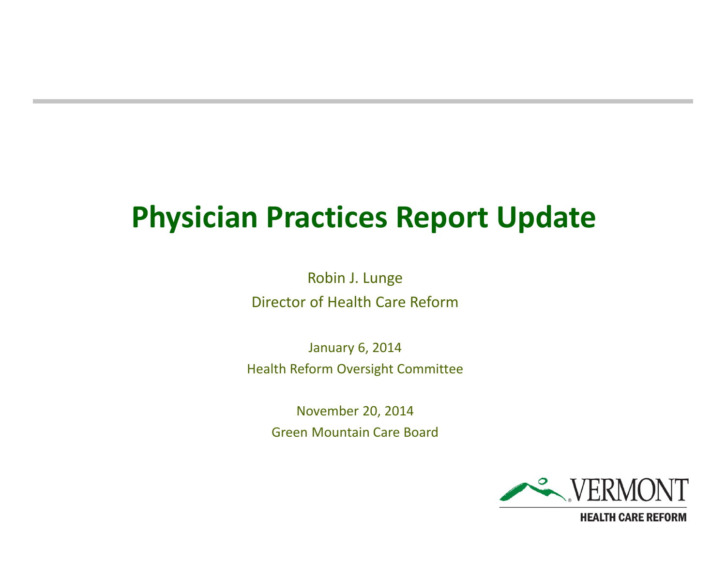#### **Physician Practices Report Update**

Robin J. Lunge Director of Health Care Reform

January 6, 2014 Health Reform Oversight Committee

November 20, 2014 Green Mountain Care Board

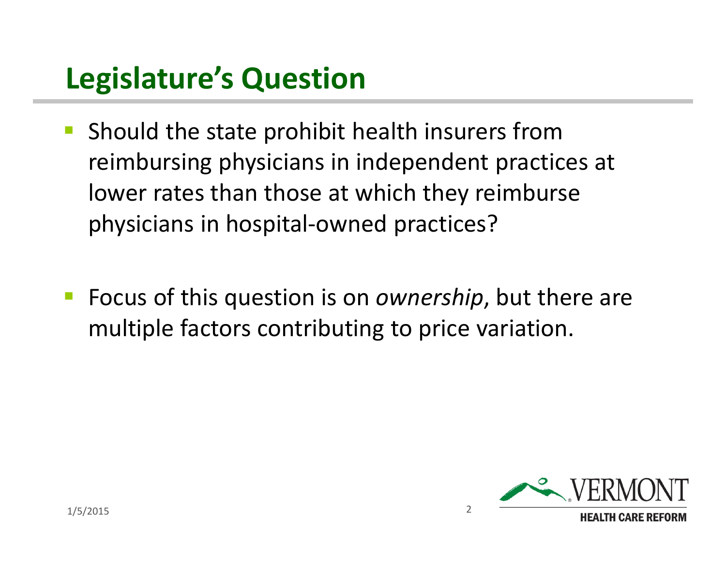## **Legislature's Question**

- **Should the state prohibit health insurers from** reimbursing physicians in independent practices at lower rates than those at which they reimburse physicians in hospital-owned practices?
- Focus of this question is on *ownership*, but there are multiple factors contributing to price variation.

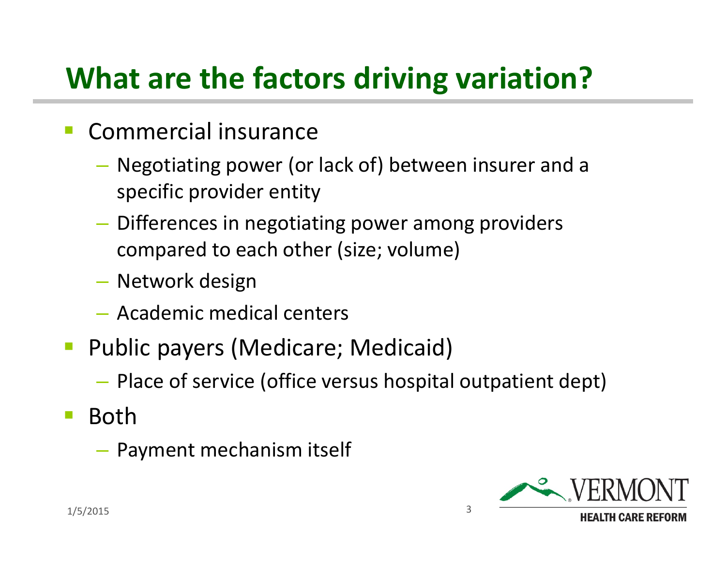# **What are the factors driving variation?**

- Commercial insurance
	- Negotiating power (or lack of) between insurer and a specific provider entity
	- Differences in negotiating power among providers compared to each other (size; volume)
	- Network design
	- Academic medical centers
- **Public payers (Medicare; Medicaid)** 
	- Place of service (office versus hospital outpatient dept)
- Both
	- Payment mechanism itself

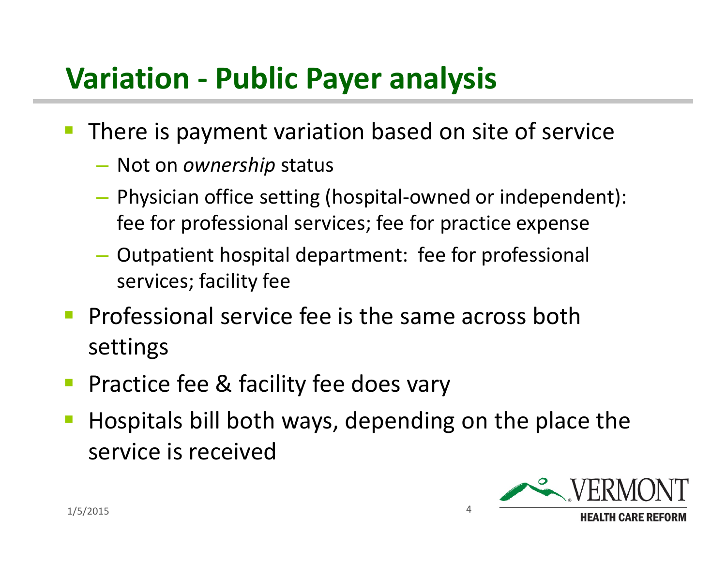## **Variation - Public Payer analysis**

- **There is payment variation based on site of service** 
	- Not on *ownership* status
	- Physician office setting (hospital-owned or independent): fee for professional services; fee for practice expense
	- Outpatient hospital department: fee for professional services; facility fee
- **Professional service fee is the same across both** settings
- **Practice fee & facility fee does vary**
- **Hospitals bill both ways, depending on the place the** service is received

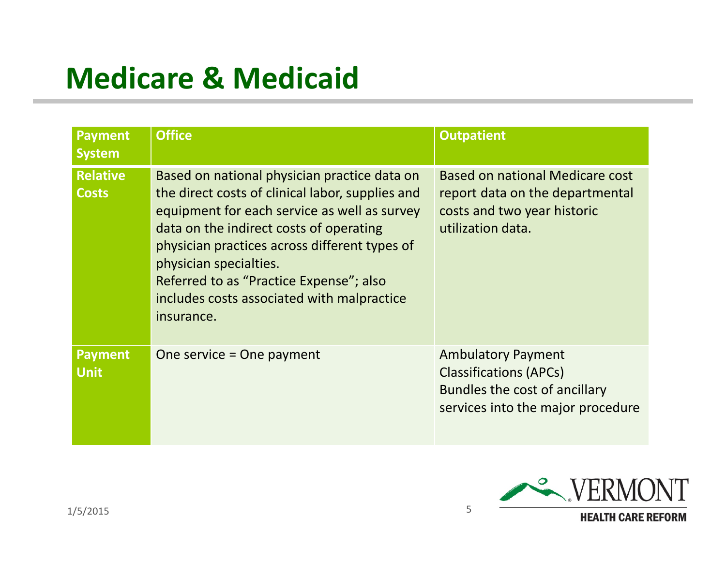# **Medicare & Medicaid**

| <b>Payment</b><br><b>System</b> | <b>Office</b>                                                                                                                                                                                                                                                                                                                                                                 | <b>Outpatient</b>                                                                                                                |
|---------------------------------|-------------------------------------------------------------------------------------------------------------------------------------------------------------------------------------------------------------------------------------------------------------------------------------------------------------------------------------------------------------------------------|----------------------------------------------------------------------------------------------------------------------------------|
| <b>Relative</b><br><b>Costs</b> | Based on national physician practice data on<br>the direct costs of clinical labor, supplies and<br>equipment for each service as well as survey<br>data on the indirect costs of operating<br>physician practices across different types of<br>physician specialties.<br>Referred to as "Practice Expense"; also<br>includes costs associated with malpractice<br>insurance. | <b>Based on national Medicare cost</b><br>report data on the departmental<br>costs and two year historic<br>utilization data.    |
| <b>Payment</b><br><b>Unit</b>   | One service = One payment                                                                                                                                                                                                                                                                                                                                                     | <b>Ambulatory Payment</b><br><b>Classifications (APCs)</b><br>Bundles the cost of ancillary<br>services into the major procedure |

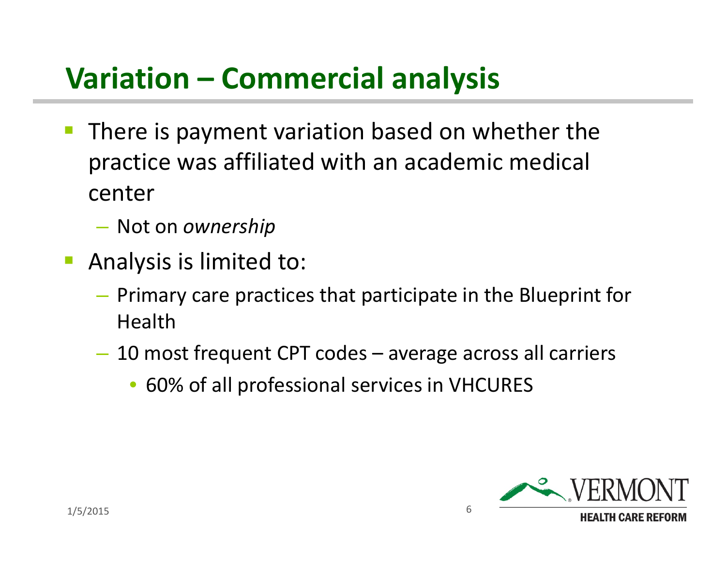# **Variation – Commercial analysis**

- **There is payment variation based on whether the** practice was affiliated with an academic medical center
	- Not on *ownership*
- Analysis is limited to:
	- Primary care practices that participate in the Blueprint for Health
	- 10 most frequent CPT codes average across all carriers
		- 60% of all professional services in VHCURES

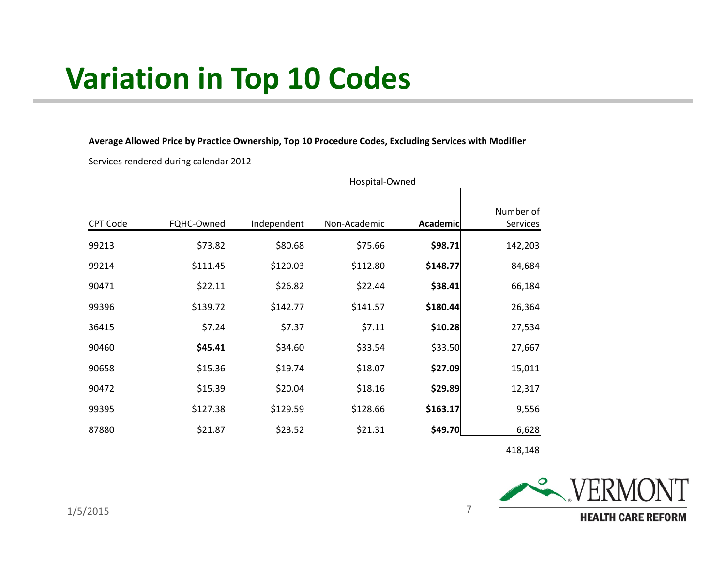## **Variation in Top 10 Codes**

**Average Allowed Price by Practice Ownership, Top 10 Procedure Codes, Excluding Services with Modifier**

Services rendered during calendar 2012

|          | Hospital-Owned |             |              |          |                       |
|----------|----------------|-------------|--------------|----------|-----------------------|
| CPT Code | FQHC-Owned     | Independent | Non-Academic | Academic | Number of<br>Services |
| 99213    | \$73.82        | \$80.68     | \$75.66      | \$98.71  | 142,203               |
| 99214    | \$111.45       | \$120.03    | \$112.80     | \$148.77 | 84,684                |
| 90471    | \$22.11        | \$26.82     | \$22.44      | \$38.41  | 66,184                |
| 99396    | \$139.72       | \$142.77    | \$141.57     | \$180.44 | 26,364                |
| 36415    | \$7.24         | \$7.37      | \$7.11       | \$10.28  | 27,534                |
| 90460    | \$45.41        | \$34.60     | \$33.54      | \$33.50  | 27,667                |
| 90658    | \$15.36        | \$19.74     | \$18.07      | \$27.09  | 15,011                |
| 90472    | \$15.39        | \$20.04     | \$18.16      | \$29.89  | 12,317                |
| 99395    | \$127.38       | \$129.59    | \$128.66     | \$163.17 | 9,556                 |
| 87880    | \$21.87        | \$23.52     | \$21.31      | \$49.70  | 6,628                 |

418,148

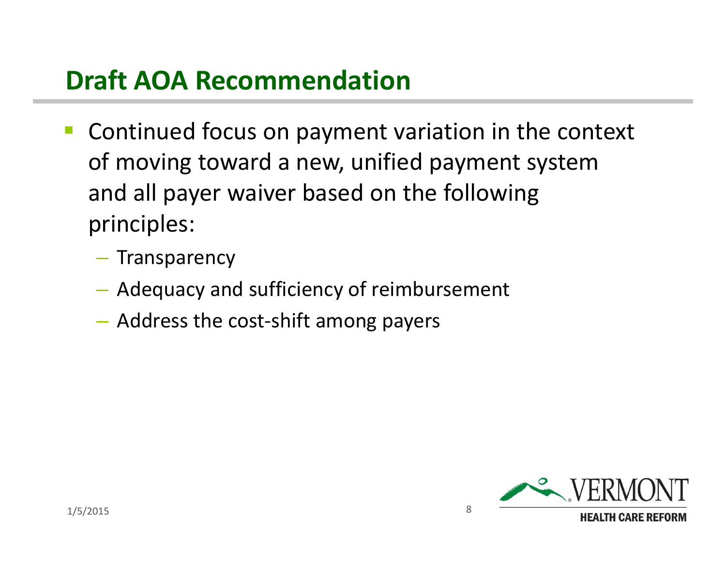#### **Draft AOA Recommendation**

- **Continued focus on payment variation in the context** of moving toward a new, unified payment system and all payer waiver based on the following principles:
	- Transparency
	- Adequacy and sufficiency of reimbursement
	- Address the cost-shift among payers